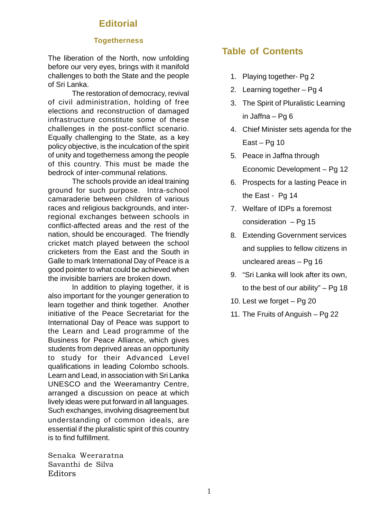# **Editorial**

### **Togetherness**

The liberation of the North, now unfolding before our very eyes, brings with it manifold challenges to both the State and the people of Sri Lanka.

The restoration of democracy, revival of civil administration, holding of free elections and reconstruction of damaged infrastructure constitute some of these challenges in the post-conflict scenario. Equally challenging to the State, as a key policy objective, is the inculcation of the spirit of unity and togetherness among the people of this country. This must be made the bedrock of inter-communal relations.

The schools provide an ideal training ground for such purpose. Intra-school camaraderie between children of various races and religious backgrounds, and interregional exchanges between schools in conflict-affected areas and the rest of the nation, should be encouraged. The friendly cricket match played between the school cricketers from the East and the South in Galle to mark International Day of Peace is a good pointer to what could be achieved when the invisible barriers are broken down.

In addition to playing together, it is also important for the younger generation to learn together and think together. Another initiative of the Peace Secretariat for the International Day of Peace was support to the Learn and Lead programme of the Business for Peace Alliance, which gives students from deprived areas an opportunity to study for their Advanced Level qualifications in leading Colombo schools. Learn and Lead, in association with Sri Lanka UNESCO and the Weeramantry Centre, arranged a discussion on peace at which lively ideas were put forward in all languages. Such exchanges, involving disagreement but understanding of common ideals, are essential if the pluralistic spirit of this country is to find fulfillment.

Senaka Weeraratna Savanthi de Silva Editors

## **Table of Contents**

- 1. Playing together- Pg 2
- 2. Learning together Pg 4
- 3. The Spirit of Pluralistic Learning in Jaffna – Pg 6
- 4. Chief Minister sets agenda for the  $East - Pg$  10
- 5. Peace in Jaffna through Economic Development – Pg 12
- 6. Prospects for a lasting Peace in the East - Pg 14
- 7. Welfare of IDPs a foremost consideration – Pg 15
- 8. Extending Government services and supplies to fellow citizens in uncleared areas – Pg 16
- 9. "Sri Lanka will look after its own, to the best of our ability" – Pg 18
- 10. Lest we forget Pg 20
- 11. The Fruits of Anguish Pg 22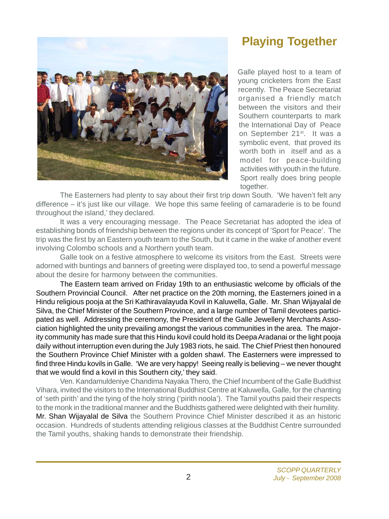# **Playing Together**



Galle played host to a team of young cricketers from the East recently. The Peace Secretariat organised a friendly match between the visitors and their Southern counterparts to mark the International Day of Peace on September 21st. It was a symbolic event, that proved its worth both in itself and as a model for peace-building activities with youth in the future. Sport really does bring people together.

The Easterners had plenty to say about their first trip down South. 'We haven't felt any difference – it's just like our village. We hope this same feeling of camaraderie is to be found throughout the island,' they declared.

It was a very encouraging message. The Peace Secretariat has adopted the idea of establishing bonds of friendship between the regions under its concept of 'Sport for Peace'. The trip was the first by an Eastern youth team to the South, but it came in the wake of another event involving Colombo schools and a Northern youth team.

Galle took on a festive atmosphere to welcome its visitors from the East. Streets were adorned with buntings and banners of greeting were displayed too, to send a powerful message about the desire for harmony between the communities.

The Eastern team arrived on Friday 19th to an enthusiastic welcome by officials of the Southern Provincial Council. After net practice on the 20th morning, the Easterners joined in a Hindu religious pooja at the Sri Kathiravalayuda Kovil in Kaluwella, Galle. Mr. Shan Wijayalal de Silva, the Chief Minister of the Southern Province, and a large number of Tamil devotees participated as well. Addressing the ceremony, the President of the Galle Jewellery Merchants Association highlighted the unity prevailing amongst the various communities in the area. The majority community has made sure that this Hindu kovil could hold its Deepa Aradanai or the light pooja daily without interruption even during the July 1983 riots, he said. The Chief Priest then honoured the Southern Province Chief Minister with a golden shawl. The Easterners were impressed to find three Hindu kovils in Galle. 'We are very happy! Seeing really is believing – we never thought that we would find a kovil in this Southern city,' they said.

Ven. Kandamuldeniye Chandima Nayaka Thero, the Chief Incumbent of the Galle Buddhist Vihara, invited the visitors to the International Buddhist Centre at Kaluwella, Galle, for the chanting of 'seth pirith' and the tying of the holy string ('pirith noola'). The Tamil youths paid their respects to the monk in the traditional manner and the Buddhists gathered were delighted with their humility. Mr. Shan Wijayalal de Silva the Southern Province Chief Minister described it as an historic occasion. Hundreds of students attending religious classes at the Buddhist Centre surrounded the Tamil youths, shaking hands to demonstrate their friendship.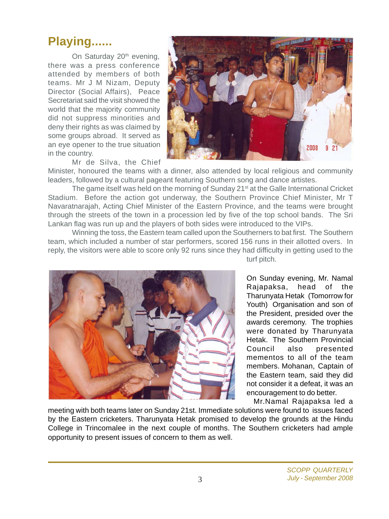# **Playing......**

On Saturday 20<sup>th</sup> evening, there was a press conference attended by members of both teams. Mr J M Nizam, Deputy Director (Social Affairs), Peace Secretariat said the visit showed the world that the majority community did not suppress minorities and deny their rights as was claimed by some groups abroad. It served as an eye opener to the true situation in the country.



Mr de Silva, the Chief

Minister, honoured the teams with a dinner, also attended by local religious and community leaders, followed by a cultural pageant featuring Southern song and dance artistes.

The game itself was held on the morning of Sunday 21<sup>st</sup> at the Galle International Cricket Stadium. Before the action got underway, the Southern Province Chief Minister, Mr T Navaratnarajah, Acting Chief Minister of the Eastern Province, and the teams were brought through the streets of the town in a procession led by five of the top school bands. The Sri Lankan flag was run up and the players of both sides were introduced to the VIPs.

Winning the toss, the Eastern team called upon the Southerners to bat first. The Southern team, which included a number of star performers, scored 156 runs in their allotted overs. In reply, the visitors were able to score only 92 runs since they had difficulty in getting used to the



turf pitch.

On Sunday evening, Mr. Namal Rajapaksa, head of the Tharunyata Hetak (Tomorrow for Youth) Organisation and son of the President, presided over the awards ceremony. The trophies were donated by Tharunyata Hetak. The Southern Provincial Council also presented mementos to all of the team members. Mohanan, Captain of the Eastern team, said they did not consider it a defeat, it was an encouragement to do better.

Mr.Namal Rajapaksa led a

meeting with both teams later on Sunday 21st. Immediate solutions were found to issues faced by the Eastern cricketers. Tharunyata Hetak promised to develop the grounds at the Hindu College in Trincomalee in the next couple of months. The Southern cricketers had ample opportunity to present issues of concern to them as well.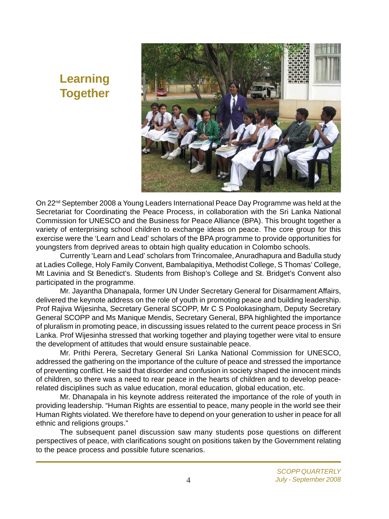# **Learning Together**



On 22<sup>nd</sup> September 2008 a Young Leaders International Peace Day Programme was held at the Secretariat for Coordinating the Peace Process, in collaboration with the Sri Lanka National Commission for UNESCO and the Business for Peace Alliance (BPA). This brought together a variety of enterprising school children to exchange ideas on peace. The core group for this exercise were the 'Learn and Lead' scholars of the BPA programme to provide opportunities for youngsters from deprived areas to obtain high quality education in Colombo schools.

Currently 'Learn and Lead' scholars from Trincomalee, Anuradhapura and Badulla study at Ladies College, Holy Family Convent, Bambalapitiya, Methodist College, S Thomas' College, Mt Lavinia and St Benedict's. Students from Bishop's College and St. Bridget's Convent also participated in the programme.

Mr. Jayantha Dhanapala, former UN Under Secretary General for Disarmament Affairs, delivered the keynote address on the role of youth in promoting peace and building leadership. Prof Rajiva Wijesinha, Secretary General SCOPP, Mr C S Poolokasingham, Deputy Secretary General SCOPP and Ms Manique Mendis, Secretary General, BPA highlighted the importance of pluralism in promoting peace, in discussing issues related to the current peace process in Sri Lanka. Prof Wijesinha stressed that working together and playing together were vital to ensure the development of attitudes that would ensure sustainable peace.

Mr. Prithi Perera, Secretary General Sri Lanka National Commission for UNESCO, addressed the gathering on the importance of the culture of peace and stressed the importance of preventing conflict. He said that disorder and confusion in society shaped the innocent minds of children, so there was a need to rear peace in the hearts of children and to develop peacerelated disciplines such as value education, moral education, global education, etc.

Mr. Dhanapala in his keynote address reiterated the importance of the role of youth in providing leadership. "Human Rights are essential to peace, many people in the world see their Human Rights violated. We therefore have to depend on your generation to usher in peace for all ethnic and religions groups."

The subsequent panel discussion saw many students pose questions on different perspectives of peace, with clarifications sought on positions taken by the Government relating to the peace process and possible future scenarios.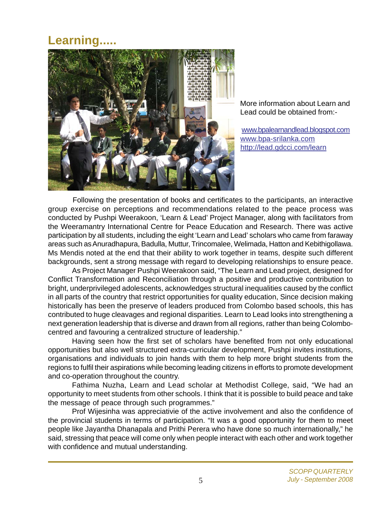# **Learning.....**



More information about Learn and Lead could be obtained from:-

www.bpalearnandlead.blogspot.com www.bpa-srilanka.com http://lead.gdcci.com/learn

 Following the presentation of books and certificates to the participants, an interactive group exercise on perceptions and recommendations related to the peace process was conducted by Pushpi Weerakoon, 'Learn & Lead' Project Manager, along with facilitators from the Weeramantry International Centre for Peace Education and Research. There was active participation by all students, including the eight 'Learn and Lead' scholars who came from faraway areas such as Anuradhapura, Badulla, Muttur, Trincomalee, Welimada, Hatton and Kebithigollawa. Ms Mendis noted at the end that their ability to work together in teams, despite such different backgrounds, sent a strong message with regard to developing relationships to ensure peace.

As Project Manager Pushpi Weerakoon said, "The Learn and Lead project, designed for Conflict Transformation and Reconciliation through a positive and productive contribution to bright, underprivileged adolescents, acknowledges structural inequalities caused by the conflict in all parts of the country that restrict opportunities for quality education, Since decision making historically has been the preserve of leaders produced from Colombo based schools, this has contributed to huge cleavages and regional disparities. Learn to Lead looks into strengthening a next generation leadership that is diverse and drawn from all regions, rather than being Colombocentred and favouring a centralized structure of leadership."

Having seen how the first set of scholars have benefited from not only educational opportunities but also well structured extra-curricular development, Pushpi invites institutions, organisations and individuals to join hands with them to help more bright students from the regions to fulfil their aspirations while becoming leading citizens in efforts to promote development and co-operation throughout the country.

Fathima Nuzha, Learn and Lead scholar at Methodist College, said, "We had an opportunity to meet students from other schools. I think that it is possible to build peace and take the message of peace through such programmes."

Prof Wijesinha was appreciativie of the active involvement and also the confidence of the provincial students in terms of participation. "It was a good opportunity for them to meet people like Jayantha Dhanapala and Prithi Perera who have done so much internationally," he said, stressing that peace will come only when people interact with each other and work together with confidence and mutual understanding.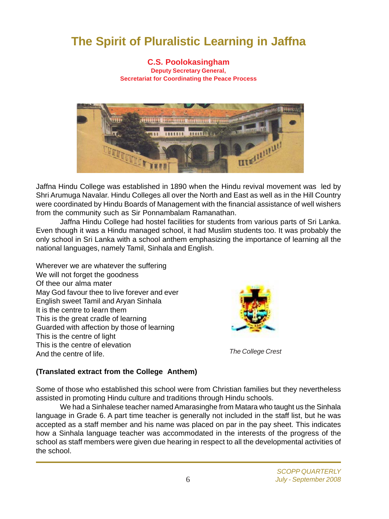# **The Spirit of Pluralistic Learning in Jaffna**

**C.S. Poolokasingham Deputy Secretary General, Secretariat for Coordinating the Peace Process**



Jaffna Hindu College was established in 1890 when the Hindu revival movement was led by Shri Arumuga Navalar. Hindu Colleges all over the North and East as well as in the Hill Country were coordinated by Hindu Boards of Management with the financial assistance of well wishers from the community such as Sir Ponnambalam Ramanathan.

Jaffna Hindu College had hostel facilities for students from various parts of Sri Lanka. Even though it was a Hindu managed school, it had Muslim students too. It was probably the only school in Sri Lanka with a school anthem emphasizing the importance of learning all the national languages, namely Tamil, Sinhala and English.

Wherever we are whatever the suffering We will not forget the goodness Of thee our alma mater May God favour thee to live forever and ever English sweet Tamil and Aryan Sinhala It is the centre to learn them This is the great cradle of learning Guarded with affection by those of learning This is the centre of light This is the centre of elevation And the centre of life.



*The College Crest*

## **(Translated extract from the College Anthem)**

Some of those who established this school were from Christian families but they nevertheless assisted in promoting Hindu culture and traditions through Hindu schools.

We had a Sinhalese teacher named Amarasinghe from Matara who taught us the Sinhala language in Grade 6. A part time teacher is generally not included in the staff list, but he was accepted as a staff member and his name was placed on par in the pay sheet. This indicates how a Sinhala language teacher was accommodated in the interests of the progress of the school as staff members were given due hearing in respect to all the developmental activities of the school.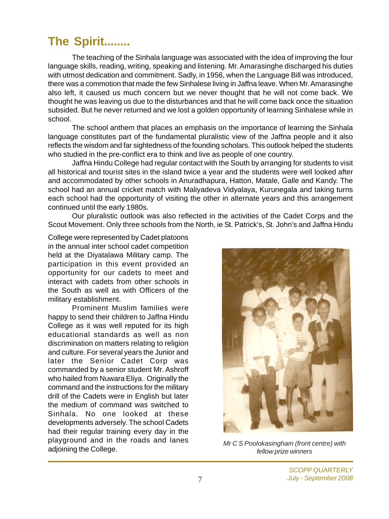# **The Spirit........**

The teaching of the Sinhala language was associated with the idea of improving the four language skills, reading, writing, speaking and listening. Mr. Amarasinghe discharged his duties with utmost dedication and commitment. Sadly, in 1956, when the Language Bill was introduced, there was a commotion that made the few Sinhalese living in Jaffna leave. When Mr. Amarasinghe also left, it caused us much concern but we never thought that he will not come back. We thought he was leaving us due to the disturbances and that he will come back once the situation subsided. But he never returned and we lost a golden opportunity of learning Sinhalese while in school.

The school anthem that places an emphasis on the importance of learning the Sinhala language constitutes part of the fundamental pluralistic view of the Jaffna people and it also reflects the wisdom and far sightedness of the founding scholars. This outlook helped the students who studied in the pre-conflict era to think and live as people of one country.

Jaffna Hindu College had regular contact with the South by arranging for students to visit all historical and tourist sites in the island twice a year and the students were well looked after and accommodated by other schools in Anuradhapura, Hatton, Matale, Galle and Kandy. The school had an annual cricket match with Maliyadeva Vidyalaya, Kurunegala and taking turns each school had the opportunity of visiting the other in alternate years and this arrangement continued until the early 1980s.

Our pluralistic outlook was also reflected in the activities of the Cadet Corps and the Scout Movement. Only three schools from the North, ie St. Patrick's, St. John's and Jaffna Hindu

College were represented by Cadet platoons in the annual inter school cadet competition held at the Diyatalawa Military camp. The participation in this event provided an opportunity for our cadets to meet and interact with cadets from other schools in the South as well as with Officers of the military establishment.

Prominent Muslim families were happy to send their children to Jaffna Hindu College as it was well reputed for its high educational standards as well as non discrimination on matters relating to religion and culture. For several years the Junior and later the Senior Cadet Corp was commanded by a senior student Mr. Ashroff who hailed from Nuwara Eliya. Originally the command and the instructions for the military drill of the Cadets were in English but later the medium of command was switched to Sinhala. No one looked at these developments adversely. The school Cadets had their regular training every day in the playground and in the roads and lanes adjoining the College.



*Mr C S Poolokasingham (front centre) with fellow prize winners*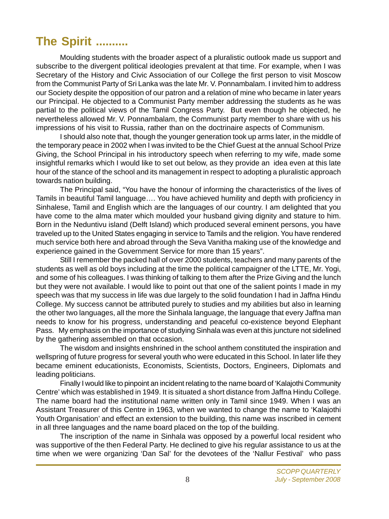# **The Spirit ..........**

Moulding students with the broader aspect of a pluralistic outlook made us support and subscribe to the divergent political ideologies prevalent at that time. For example, when I was Secretary of the History and Civic Association of our College the first person to visit Moscow from the Communist Party of Sri Lanka was the late Mr. V. Ponnambalam. I invited him to address our Society despite the opposition of our patron and a relation of mine who became in later years our Principal. He objected to a Communist Party member addressing the students as he was partial to the political views of the Tamil Congress Party. But even though he objected, he nevertheless allowed Mr. V. Ponnambalam, the Communist party member to share with us his impressions of his visit to Russia, rather than on the doctrinaire aspects of Communism.

I should also note that, though the younger generation took up arms later, in the middle of the temporary peace in 2002 when I was invited to be the Chief Guest at the annual School Prize Giving, the School Principal in his introductory speech when referring to my wife, made some insightful remarks which I would like to set out below, as they provide an idea even at this late hour of the stance of the school and its management in respect to adopting a pluralistic approach towards nation building.

The Principal said, "You have the honour of informing the characteristics of the lives of Tamils in beautiful Tamil language…. You have achieved humility and depth with proficiency in Sinhalese, Tamil and English which are the languages of our country. I am delighted that you have come to the alma mater which moulded your husband giving dignity and stature to him. Born in the Neduntivu island (Delft Island) which produced several eminent persons, you have traveled up to the United States engaging in service to Tamils and the religion. You have rendered much service both here and abroad through the Seva Vanitha making use of the knowledge and experience gained in the Government Service for more than 15 years".

Still I remember the packed hall of over 2000 students, teachers and many parents of the students as well as old boys including at the time the political campaigner of the LTTE, Mr. Yogi, and some of his colleagues. I was thinking of talking to them after the Prize Giving and the lunch but they were not available. I would like to point out that one of the salient points I made in my speech was that my success in life was due largely to the solid foundation I had in Jaffna Hindu College. My success cannot be attributed purely to studies and my abilities but also in learning the other two languages, all the more the Sinhala language, the language that every Jaffna man needs to know for his progress, understanding and peaceful co-existence beyond Elephant Pass. My emphasis on the importance of studying Sinhala was even at this juncture not sidelined by the gathering assembled on that occasion.

The wisdom and insights enshrined in the school anthem constituted the inspiration and wellspring of future progress for several youth who were educated in this School. In later life they became eminent educationists, Economists, Scientists, Doctors, Engineers, Diplomats and leading politicians.

Finally I would like to pinpoint an incident relating to the name board of 'Kalajothi Community Centre' which was established in 1949. It is situated a short distance from Jaffna Hindu College. The name board had the institutional name written only in Tamil since 1949. When I was an Assistant Treasurer of this Centre in 1963, when we wanted to change the name to 'Kalajothi Youth Organisation' and effect an extension to the building, this name was inscribed in cement in all three languages and the name board placed on the top of the building.

The inscription of the name in Sinhala was opposed by a powerful local resident who was supportive of the then Federal Party. He declined to give his regular assistance to us at the time when we were organizing 'Dan Sal' for the devotees of the 'Nallur Festival' who pass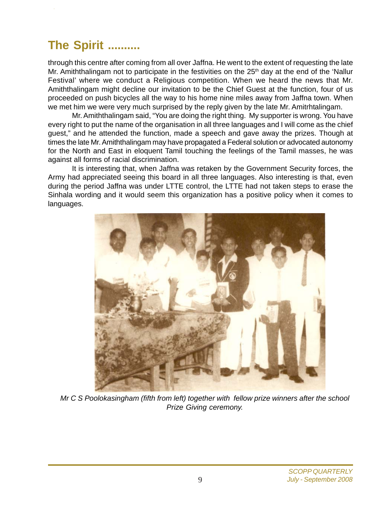# **The Spirit ..........**

through this centre after coming from all over Jaffna. He went to the extent of requesting the late Mr. Amiththalingam not to participate in the festivities on the  $25<sup>th</sup>$  day at the end of the 'Nallur Festival' where we conduct a Religious competition. When we heard the news that Mr. Amiththalingam might decline our invitation to be the Chief Guest at the function, four of us proceeded on push bicycles all the way to his home nine miles away from Jaffna town. When we met him we were very much surprised by the reply given by the late Mr. Amitrhtalingam.

Mr. Amiththalingam said, "You are doing the right thing. My supporter is wrong. You have every right to put the name of the organisation in all three languages and I will come as the chief guest," and he attended the function, made a speech and gave away the prizes. Though at times the late Mr. Amiththalingam may have propagated a Federal solution or advocated autonomy for the North and East in eloquent Tamil touching the feelings of the Tamil masses, he was against all forms of racial discrimination.

It is interesting that, when Jaffna was retaken by the Government Security forces, the Army had appreciated seeing this board in all three languages. Also interesting is that, even during the period Jaffna was under LTTE control, the LTTE had not taken steps to erase the Sinhala wording and it would seem this organization has a positive policy when it comes to languages.



*Mr C S Poolokasingham (fifth from left) together with fellow prize winners after the school Prize Giving ceremony.*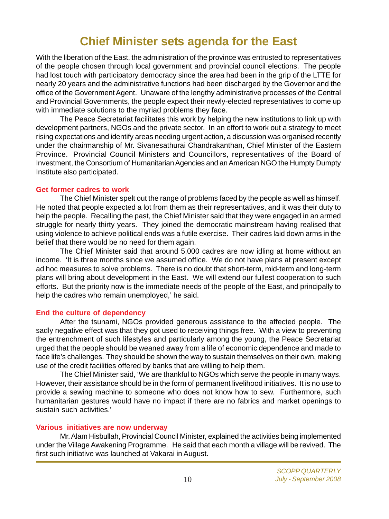# **Chief Minister sets agenda for the East**

With the liberation of the East, the administration of the province was entrusted to representatives of the people chosen through local government and provincial council elections. The people had lost touch with participatory democracy since the area had been in the grip of the LTTE for nearly 20 years and the administrative functions had been discharged by the Governor and the office of the Government Agent. Unaware of the lengthy administrative processes of the Central and Provincial Governments, the people expect their newly-elected representatives to come up with immediate solutions to the myriad problems they face.

The Peace Secretariat facilitates this work by helping the new institutions to link up with development partners, NGOs and the private sector. In an effort to work out a strategy to meet rising expectations and identify areas needing urgent action, a discussion was organised recently under the chairmanship of Mr. Sivanesathurai Chandrakanthan, Chief Minister of the Eastern Province. Provincial Council Ministers and Councillors, representatives of the Board of Investment, the Consortium of Humanitarian Agencies and an American NGO the Humpty Dumpty Institute also participated.

### **Get former cadres to work**

The Chief Minister spelt out the range of problems faced by the people as well as himself. He noted that people expected a lot from them as their representatives, and it was their duty to help the people. Recalling the past, the Chief Minister said that they were engaged in an armed struggle for nearly thirty years. They joined the democratic mainstream having realised that using violence to achieve political ends was a futile exercise. Their cadres laid down arms in the belief that there would be no need for them again.

The Chief Minister said that around 5,000 cadres are now idling at home without an income. 'It is three months since we assumed office. We do not have plans at present except ad hoc measures to solve problems. There is no doubt that short-term, mid-term and long-term plans will bring about development in the East. We will extend our fullest cooperation to such efforts. But the priority now is the immediate needs of the people of the East, and principally to help the cadres who remain unemployed,' he said.

### **End the culture of dependency**

After the tsunami, NGOs provided generous assistance to the affected people. The sadly negative effect was that they got used to receiving things free. With a view to preventing the entrenchment of such lifestyles and particularly among the young, the Peace Secretariat urged that the people should be weaned away from a life of economic dependence and made to face life's challenges. They should be shown the way to sustain themselves on their own, making use of the credit facilities offered by banks that are willing to help them.

The Chief Minister said, 'We are thankful to NGOs which serve the people in many ways. However, their assistance should be in the form of permanent livelihood initiatives. It is no use to provide a sewing machine to someone who does not know how to sew. Furthermore, such humanitarian gestures would have no impact if there are no fabrics and market openings to sustain such activities.'

#### **Various initiatives are now underway**

Mr. Alam Hisbullah, Provincial Council Minister, explained the activities being implemented under the Village Awakening Programme. He said that each month a village will be revived. The first such initiative was launched at Vakarai in August.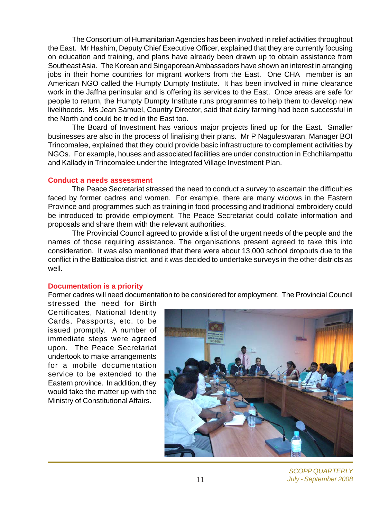The Consortium of Humanitarian Agencies has been involved in relief activities throughout the East. Mr Hashim, Deputy Chief Executive Officer, explained that they are currently focusing on education and training, and plans have already been drawn up to obtain assistance from Southeast Asia. The Korean and Singaporean Ambassadors have shown an interest in arranging jobs in their home countries for migrant workers from the East. One CHA member is an American NGO called the Humpty Dumpty Institute. It has been involved in mine clearance work in the Jaffna peninsular and is offering its services to the East. Once areas are safe for people to return, the Humpty Dumpty Institute runs programmes to help them to develop new livelihoods. Ms Jean Samuel, Country Director, said that dairy farming had been successful in the North and could be tried in the East too.

The Board of Investment has various major projects lined up for the East. Smaller businesses are also in the process of finalising their plans. Mr P Naguleswaran, Manager BOI Trincomalee, explained that they could provide basic infrastructure to complement activities by NGOs. For example, houses and associated facilities are under construction in Echchilampattu and Kallady in Trincomalee under the Integrated Village Investment Plan.

#### **Conduct a needs assessment**

The Peace Secretariat stressed the need to conduct a survey to ascertain the difficulties faced by former cadres and women. For example, there are many widows in the Eastern Province and programmes such as training in food processing and traditional embroidery could be introduced to provide employment. The Peace Secretariat could collate information and proposals and share them with the relevant authorities.

The Provincial Council agreed to provide a list of the urgent needs of the people and the names of those requiring assistance. The organisations present agreed to take this into consideration. It was also mentioned that there were about 13,000 school dropouts due to the conflict in the Batticaloa district, and it was decided to undertake surveys in the other districts as well.

#### **Documentation is a priority**

Former cadres will need documentation to be considered for employment. The Provincial Council

stressed the need for Birth Certificates, National Identity Cards, Passports, etc. to be issued promptly. A number of immediate steps were agreed upon. The Peace Secretariat undertook to make arrangements for a mobile documentation service to be extended to the Eastern province. In addition, they would take the matter up with the Ministry of Constitutional Affairs.



*SCOPP QUARTERLY* 11 *July - September 2008*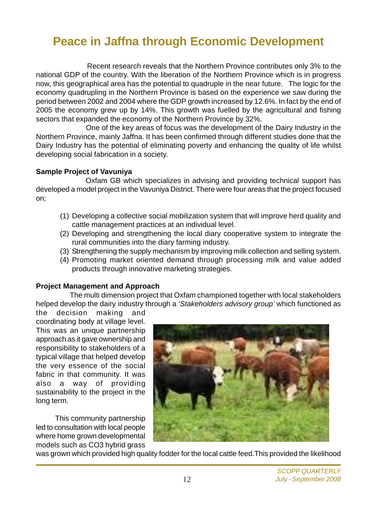# **Peace in Jaffna through Economic Development**

 Recent research reveals that the Northern Province contributes only 3% to the national GDP of the country. With the liberation of the Northern Province which is in progress now, this geographical area has the potential to quadruple in the near future. The logic for the economy quadrupling in the Northern Province is based on the experience we saw during the period between 2002 and 2004 where the GDP growth increased by 12.6%. In fact by the end of 2005 the economy grew up by 14%. This growth was fuelled by the agricultural and fishing sectors that expanded the economy of the Northern Province by 32%.

 One of the key areas of focus was the development of the Dairy Industry in the Northern Province, mainly Jaffna. It has been confirmed through different studies done that the Dairy Industry has the potential of eliminating poverty and enhancing the quality of life whilst developing social fabrication in a society.

## **Sample Project of Vavuniya**

 Oxfam GB which specializes in advising and providing technical support has developed a model project in the Vavuniya District. There were four areas that the project focused on;

- (1) Developing a collective social mobilization system that will improve herd quality and cattle management practices at an individual level.
- (2) Developing and strengthening the local diary cooperative system to integrate the rural communities into the diary farming industry.
- (3) Strengthening the supply mechanism by improving milk collection and selling system.
- (4) Promoting market oriented demand through processing milk and value added products through innovative marketing strategies.

## **Project Management and Approach**

 The multi dimension project that Oxfam championed together with local stakeholders helped develop the dairy industry through a *'Stakeholders advisory group'* which functioned as

the decision making and coordinating body at village level. This was an unique partnership approach as it gave ownership and responsibility to stakeholders of a typical village that helped develop the very essence of the social fabric in that community. It was also a way of providing sustainability to the project in the long term.

 This community partnership led to consultation with local people where home grown developmental models such as CO3 hybrid grass



was grown which provided high quality fodder for the local cattle feed.This provided the likelihood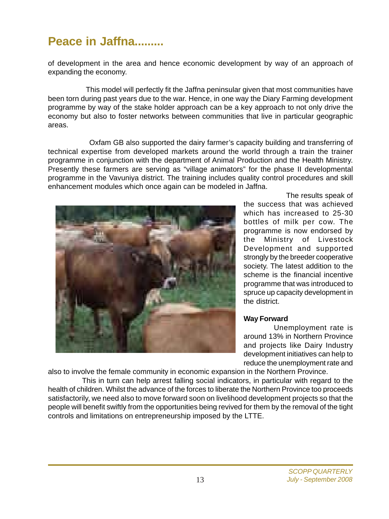# **Peace in Jaffna.........**

of development in the area and hence economic development by way of an approach of expanding the economy.

 This model will perfectly fit the Jaffna peninsular given that most communities have been torn during past years due to the war. Hence, in one way the Diary Farming development programme by way of the stake holder approach can be a key approach to not only drive the economy but also to foster networks between communities that live in particular geographic areas.

 Oxfam GB also supported the dairy farmer's capacity building and transferring of technical expertise from developed markets around the world through a train the trainer programme in conjunction with the department of Animal Production and the Health Ministry. Presently these farmers are serving as "village animators" for the phase II developmental programme in the Vavuniya district. The training includes quality control procedures and skill enhancement modules which once again can be modeled in Jaffna.



 The results speak of the success that was achieved which has increased to 25-30 bottles of milk per cow. The programme is now endorsed by the Ministry of Livestock Development and supported strongly by the breeder cooperative society. The latest addition to the scheme is the financial incentive programme that was introduced to spruce up capacity development in the district.

## **Way Forward**

 Unemployment rate is around 13% in Northern Province and projects like Dairy Industry development initiatives can help to reduce the unemployment rate and

also to involve the female community in economic expansion in the Northern Province.

 This in turn can help arrest falling social indicators, in particular with regard to the health of children. Whilst the advance of the forces to liberate the Northern Province too proceeds satisfactorily, we need also to move forward soon on livelihood development projects so that the people will benefit swiftly from the opportunities being revived for them by the removal of the tight controls and limitations on entrepreneurship imposed by the LTTE.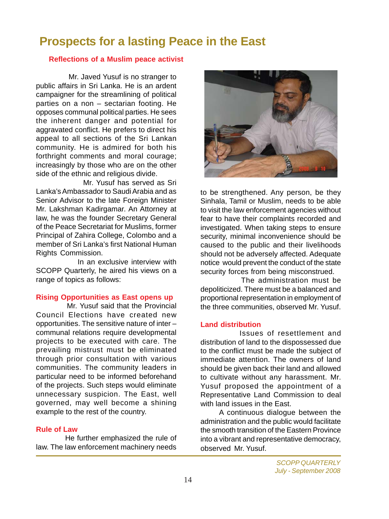# **Prospects for a lasting Peace in the East**

### **Reflections of a Muslim peace activist**

 Mr. Javed Yusuf is no stranger to public affairs in Sri Lanka. He is an ardent campaigner for the streamlining of political parties on a non – sectarian footing. He opposes communal political parties. He sees the inherent danger and potential for aggravated conflict. He prefers to direct his appeal to all sections of the Sri Lankan community. He is admired for both his forthright comments and moral courage; increasingly by those who are on the other side of the ethnic and religious divide.

 Mr. Yusuf has served as Sri Lanka's Ambassador to Saudi Arabia and as Senior Advisor to the late Foreign Minister Mr. Lakshman Kadirgamar. An Attorney at law, he was the founder Secretary General of the Peace Secretariat for Muslims, former Principal of Zahira College, Colombo and a member of Sri Lanka's first National Human Rights Commission.

 In an exclusive interview with SCOPP Quarterly, he aired his views on a range of topics as follows:

### **Rising Opportunities as East opens up**

 Mr. Yusuf said that the Provincial Council Elections have created new opportunities. The sensitive nature of inter – communal relations require developmental projects to be executed with care. The prevailing mistrust must be eliminated through prior consultation with various communities. The community leaders in particular need to be informed beforehand of the projects. Such steps would eliminate unnecessary suspicion. The East, well governed, may well become a shining example to the rest of the country.

### **Rule of Law**

 He further emphasized the rule of law. The law enforcement machinery needs



to be strengthened. Any person, be they Sinhala, Tamil or Muslim, needs to be able to visit the law enforcement agencies without fear to have their complaints recorded and investigated. When taking steps to ensure security, minimal inconvenience should be caused to the public and their livelihoods should not be adversely affected. Adequate notice would prevent the conduct of the state security forces from being misconstrued.

 The administration must be depoliticized. There must be a balanced and proportional representation in employment of the three communities, observed Mr. Yusuf.

### **Land distribution**

 Issues of resettlement and distribution of land to the dispossessed due to the conflict must be made the subject of immediate attention. The owners of land should be given back their land and allowed to cultivate without any harassment. Mr. Yusuf proposed the appointment of a Representative Land Commission to deal with land issues in the East.

 A continuous dialogue between the administration and the public would facilitate the smooth transition of the Eastern Province into a vibrant and representative democracy, observed Mr. Yusuf.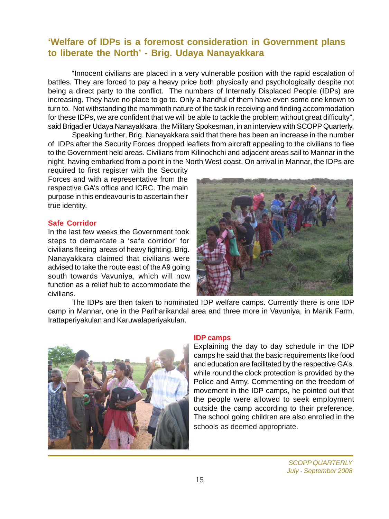# **'Welfare of IDPs is a foremost consideration in Government plans to liberate the North' - Brig. Udaya Nanayakkara**

 "Innocent civilians are placed in a very vulnerable position with the rapid escalation of battles. They are forced to pay a heavy price both physically and psychologically despite not being a direct party to the conflict. The numbers of Internally Displaced People (IDPs) are increasing. They have no place to go to. Only a handful of them have even some one known to turn to. Not withstanding the mammoth nature of the task in receiving and finding accommodation for these IDPs, we are confident that we will be able to tackle the problem without great difficulty", said Brigadier Udaya Nanayakkara, the Military Spokesman, in an interview with SCOPP Quarterly.

Speaking further, Brig. Nanayakkara said that there has been an increase in the number of IDPs after the Security Forces dropped leaflets from aircraft appealing to the civilians to flee to the Government held areas. Civilians from Kilinochchi and adjacent areas sail to Mannar in the night, having embarked from a point in the North West coast. On arrival in Mannar, the IDPs are

required to first register with the Security Forces and with a representative from the respective GA's office and ICRC. The main purpose in this endeavour is to ascertain their true identity.

### **Safe Corridor**

In the last few weeks the Government took steps to demarcate a 'safe corridor' for civilians fleeing areas of heavy fighting. Brig. Nanayakkara claimed that civilians were advised to take the route east of the A9 going south towards Vavuniya, which will now function as a relief hub to accommodate the civilians.



The IDPs are then taken to nominated IDP welfare camps. Currently there is one IDP camp in Mannar, one in the Pariharikandal area and three more in Vavuniya, in Manik Farm, Irattaperiyakulan and Karuwalaperiyakulan.



#### **IDP camps**

Explaining the day to day schedule in the IDP camps he said that the basic requirements like food and education are facilitated by the respective GA's. while round the clock protection is provided by the Police and Army. Commenting on the freedom of movement in the IDP camps, he pointed out that the people were allowed to seek employment outside the camp according to their preference. The school going children are also enrolled in the schools as deemed appropriate.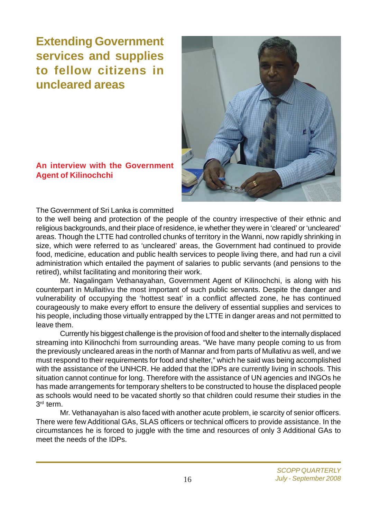**Extending Government services and supplies to fellow citizens in uncleared areas**

### **An interview with the Government Agent of Kilinochchi**



The Government of Sri Lanka is committed

to the well being and protection of the people of the country irrespective of their ethnic and religious backgrounds, and their place of residence, ie whether they were in 'cleared' or 'uncleared' areas. Though the LTTE had controlled chunks of territory in the Wanni, now rapidly shrinking in size, which were referred to as 'uncleared' areas, the Government had continued to provide food, medicine, education and public health services to people living there, and had run a civil administration which entailed the payment of salaries to public servants (and pensions to the retired), whilst facilitating and monitoring their work.

Mr. Nagalingam Vethanayahan, Government Agent of Kilinochchi, is along with his counterpart in Mullaitivu the most important of such public servants. Despite the danger and vulnerability of occupying the 'hottest seat' in a conflict affected zone, he has continued courageously to make every effort to ensure the delivery of essential supplies and services to his people, including those virtually entrapped by the LTTE in danger areas and not permitted to leave them.

Currently his biggest challenge is the provision of food and shelter to the internally displaced streaming into Kilinochchi from surrounding areas. "We have many people coming to us from the previously uncleared areas in the north of Mannar and from parts of Mullativu as well, and we must respond to their requirements for food and shelter," which he said was being accomplished with the assistance of the UNHCR. He added that the IDPs are currently living in schools. This situation cannot continue for long. Therefore with the assistance of UN agencies and INGOs he has made arrangements for temporary shelters to be constructed to house the displaced people as schools would need to be vacated shortly so that children could resume their studies in the 3<sup>rd</sup> term.

Mr. Vethanayahan is also faced with another acute problem, ie scarcity of senior officers. There were few Additional GAs, SLAS officers or technical officers to provide assistance. In the circumstances he is forced to juggle with the time and resources of only 3 Additional GAs to meet the needs of the IDPs.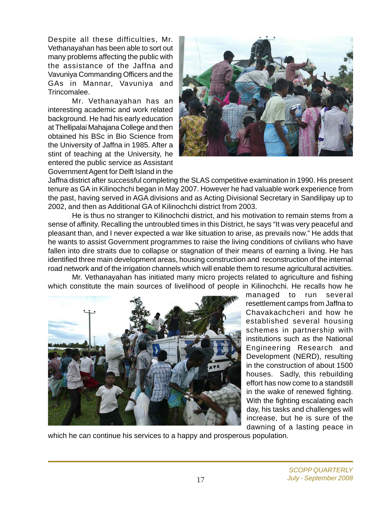Despite all these difficulties, Mr. Vethanayahan has been able to sort out many problems affecting the public with the assistance of the Jaffna and Vavuniya Commanding Officers and the GAs in Mannar, Vavuniya and Trincomalee.

Mr. Vethanayahan has an interesting academic and work related background. He had his early education at Thellipalai Mahajana College and then obtained his BSc in Bio Science from the University of Jaffna in 1985. After a stint of teaching at the University, he entered the public service as Assistant Government Agent for Delft Island in the



Jaffna district after successful completing the SLAS competitive examination in 1990. His present tenure as GA in Kilinochchi began in May 2007. However he had valuable work experience from the past, having served in AGA divisions and as Acting Divisional Secretary in Sandilipay up to 2002, and then as Additional GA of Kilinochchi district from 2003.

He is thus no stranger to Kilinochchi district, and his motivation to remain stems from a sense of affinity. Recalling the untroubled times in this District, he says "It was very peaceful and pleasant than, and I never expected a war like situation to arise, as prevails now." He adds that he wants to assist Government programmes to raise the living conditions of civilians who have fallen into dire straits due to collapse or stagnation of their means of earning a living. He has identified three main development areas, housing construction and reconstruction of the internal road network and of the irrigation channels which will enable them to resume agricultural activities.

Mr. Vethanayahan has initiated many micro projects related to agriculture and fishing which constitute the main sources of livelihood of people in Kilinochchi. He recalls how he



managed to run several resettlement camps from Jaffna to Chavakachcheri and how he established several housing schemes in partnership with institutions such as the National Engineering Research and Development (NERD), resulting in the construction of about 1500 houses. Sadly, this rebuilding effort has now come to a standstill in the wake of renewed fighting. With the fighting escalating each day, his tasks and challenges will increase, but he is sure of the dawning of a lasting peace in

which he can continue his services to a happy and prosperous population.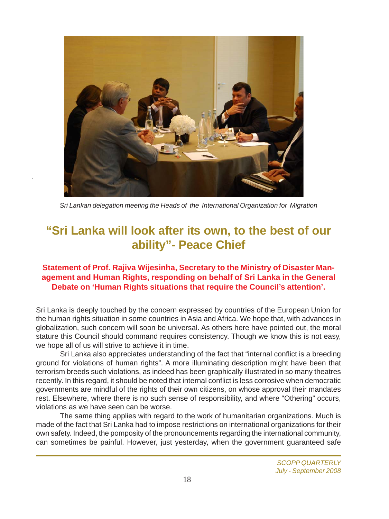

*Sri Lankan delegation meeting the Heads of the International Organization for Migration*

# **"Sri Lanka will look after its own, to the best of our ability"- Peace Chief**

## **Statement of Prof. Rajiva Wijesinha, Secretary to the Ministry of Disaster Management and Human Rights, responding on behalf of Sri Lanka in the General Debate on 'Human Rights situations that require the Council's attention'.**

Sri Lanka is deeply touched by the concern expressed by countries of the European Union for the human rights situation in some countries in Asia and Africa. We hope that, with advances in globalization, such concern will soon be universal. As others here have pointed out, the moral stature this Council should command requires consistency. Though we know this is not easy, we hope all of us will strive to achieve it in time.

Sri Lanka also appreciates understanding of the fact that "internal conflict is a breeding ground for violations of human rights". A more illuminating description might have been that terrorism breeds such violations, as indeed has been graphically illustrated in so many theatres recently. In this regard, it should be noted that internal conflict is less corrosive when democratic governments are mindful of the rights of their own citizens, on whose approval their mandates rest. Elsewhere, where there is no such sense of responsibility, and where "Othering" occurs, violations as we have seen can be worse.

The same thing applies with regard to the work of humanitarian organizations. Much is made of the fact that Sri Lanka had to impose restrictions on international organizations for their own safety. Indeed, the pomposity of the pronouncements regarding the international community, can sometimes be painful. However, just yesterday, when the government guaranteed safe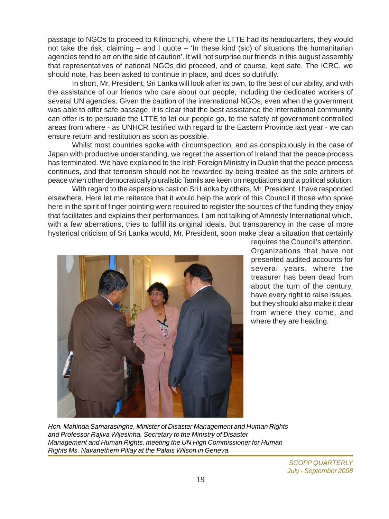passage to NGOs to proceed to Kilinochchi, where the LTTE had its headquarters, they would not take the risk, claiming – and I quote – 'In these kind (sic) of situations the humanitarian agencies tend to err on the side of caution'. It will not surprise our friends in this august assembly that representatives of national NGOs did proceed, and of course, kept safe. The ICRC, we should note, has been asked to continue in place, and does so dutifully.

In short, Mr. President, Sri Lanka will look after its own, to the best of our ability, and with the assistance of our friends who care about our people, including the dedicated workers of several UN agencies. Given the caution of the international NGOs, even when the government was able to offer safe passage, it is clear that the best assistance the international community can offer is to persuade the LTTE to let our people go, to the safety of government controlled areas from where - as UNHCR testified with regard to the Eastern Province last year - we can ensure return and restitution as soon as possible.

Whilst most countries spoke with circumspection, and as conspicuously in the case of Japan with productive understanding, we regret the assertion of Ireland that the peace process has terminated. We have explained to the Irish Foreign Ministry in Dublin that the peace process continues, and that terrorism should not be rewarded by being treated as the sole arbiters of peace when other democratically pluralistic Tamils are keen on negotiations and a political solution.

With regard to the aspersions cast on Sri Lanka by others, Mr. President, I have responded elsewhere. Here let me reiterate that it would help the work of this Council if those who spoke here in the spirit of finger pointing were required to register the sources of the funding they enjoy that facilitates and explains their performances. I am not talking of Amnesty International which, with a few aberrations, tries to fulfill its original ideals. But transparency in the case of more hysterical criticism of Sri Lanka would, Mr. President, soon make clear a situation that certainly



requires the Council's attention. Organizations that have not presented audited accounts for several years, where the treasurer has been dead from about the turn of the century, have every right to raise issues, but they should also make it clear from where they come, and where they are heading.

*Hon. Mahinda Samarasinghe, Minister of Disaster Management and Human Rights and Professor Rajiva Wijesinha, Secretary to the Ministry of Disaster Management and Human Rights, meeting the UN High Commissioner for Human Rights Ms. Navanethem Pillay at the Palais Wilson in Geneva.*

*SCOPP QUARTERLY July - September 2008*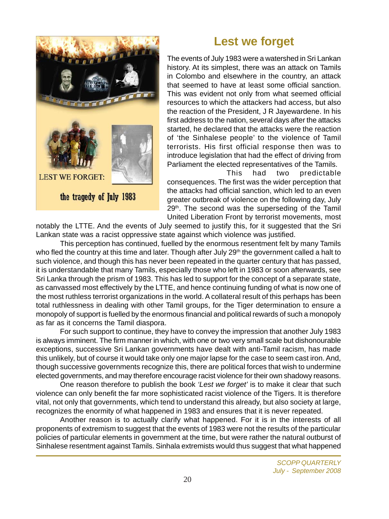

# **Lest we forget**

The events of July 1983 were a watershed in Sri Lankan history. At its simplest, there was an attack on Tamils in Colombo and elsewhere in the country, an attack that seemed to have at least some official sanction. This was evident not only from what seemed official resources to which the attackers had access, but also the reaction of the President, J R Jayewardene. In his first address to the nation, several days after the attacks started, he declared that the attacks were the reaction of 'the Sinhalese people' to the violence of Tamil terrorists. His first official response then was to introduce legislation that had the effect of driving from Parliament the elected representatives of the Tamils.

This had two predictable consequences. The first was the wider perception that the attacks had official sanction, which led to an even greater outbreak of violence on the following day, July 29<sup>th</sup>. The second was the superseding of the Tamil United Liberation Front by terrorist movements, most

notably the LTTE. And the events of July seemed to justify this, for it suggested that the Sri Lankan state was a racist oppressive state against which violence was justified.

This perception has continued, fuelled by the enormous resentment felt by many Tamils who fled the country at this time and later. Though after July 29<sup>th</sup> the government called a halt to such violence, and though this has never been repeated in the quarter century that has passed, it is understandable that many Tamils, especially those who left in 1983 or soon afterwards, see Sri Lanka through the prism of 1983. This has led to support for the concept of a separate state, as canvassed most effectively by the LTTE, and hence continuing funding of what is now one of the most ruthless terrorist organizations in the world. A collateral result of this perhaps has been total ruthlessness in dealing with other Tamil groups, for the Tiger determination to ensure a monopoly of support is fuelled by the enormous financial and political rewards of such a monopoly as far as it concerns the Tamil diaspora.

For such support to continue, they have to convey the impression that another July 1983 is always imminent. The firm manner in which, with one or two very small scale but dishonourable exceptions, successive Sri Lankan governments have dealt with anti-Tamil racism, has made this unlikely, but of course it would take only one major lapse for the case to seem cast iron. And, though successive governments recognize this, there are political forces that wish to undermine elected governments, and may therefore encourage racist violence for their own shadowy reasons.

One reason therefore to publish the book *'Lest we forget'* is to make it clear that such violence can only benefit the far more sophisticated racist violence of the Tigers. It is therefore vital, not only that governments, which tend to understand this already, but also society at large, recognizes the enormity of what happened in 1983 and ensures that it is never repeated.

Another reason is to actually clarify what happened. For it is in the interests of all proponents of extremism to suggest that the events of 1983 were not the results of the particular policies of particular elements in government at the time, but were rather the natural outburst of Sinhalese resentment against Tamils. Sinhala extremists would thus suggest that what happened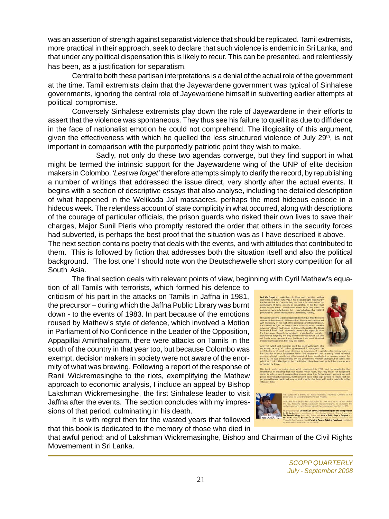was an assertion of strength against separatist violence that should be replicated. Tamil extremists, more practical in their approach, seek to declare that such violence is endemic in Sri Lanka, and that under any political dispensation this is likely to recur. This can be presented, and relentlessly has been, as a justification for separatism.

Central to both these partisan interpretations is a denial of the actual role of the government at the time. Tamil extremists claim that the Jayewardene government was typical of Sinhalese governments, ignoring the central role of Jayewardene himself in subverting earlier attempts at political compromise.

Conversely Sinhalese extremists play down the role of Jayewardene in their efforts to assert that the violence was spontaneous. They thus see his failure to quell it as due to diffidence in the face of nationalist emotion he could not comprehend. The illogicality of this argument, given the effectiveness with which he quelled the less structured violence of July  $29<sup>th</sup>$ , is not important in comparison with the purportedly patriotic point they wish to make.

Sadly, not only do these two agendas converge, but they find support in what might be termed the intrinsic support for the Jayewardene wing of the UNP of elite decision makers in Colombo. *'Lest we forget'* therefore attempts simply to clarify the record, by republishing a number of writings that addressed the issue direct, very shortly after the actual events. It begins with a section of descriptive essays that also analyse, including the detailed description of what happened in the Welikada Jail massacres, perhaps the most hideous episode in a hideous week. The relentless account of state complicity in what occurred, along with descriptions of the courage of particular officials, the prison guards who risked their own lives to save their charges, Major Sunil Pieris who promptly restored the order that others in the security forces had subverted, is perhaps the best proof that the situation was as I have described it above.

The next section contains poetry that deals with the events, and with attitudes that contributed to them. This is followed by fiction that addresses both the situation itself and also the political background. 'The lost one' I should note won the Deutschewelle short story competition for all South Asia.

The final section deals with relevant points of view, beginning with Cyril Mathew's equa-

tion of all Tamils with terrorists, which formed his defence to criticism of his part in the attacks on Tamils in Jaffna in 1981, the precursor – during which the Jaffna Public Library was burnt down - to the events of 1983. In part because of the emotions roused by Mathew's style of defence, which involved a Motion in Parliament of No Confidence in the Leader of the Opposition, Appapillai Amirthalingam, there were attacks on Tamils in the south of the country in that year too, but because Colombo was exempt, decision makers in society were not aware of the enormity of what was brewing. Following a report of the response of Ranil Wickremesinghe to the riots, exemplifying the Mathew approach to economic analysis, I include an appeal by Bishop Lakshman Wickremesinghe, the first Sinhalese leader to visit Jaffna after the events. The section concludes with my impressions of that period, culminating in his death.

It is with regret then for the wasted years that followed that this book is dedicated to the memory of those who died in



that awful period; and of Lakshman Wickremasinghe, Bishop and Chairman of the Civil Rights Movemement in Sri Lanka.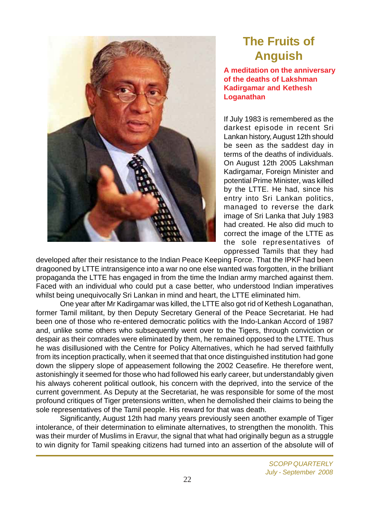

# **The Fruits of Anguish**

**A meditation on the anniversary of the deaths of Lakshman Kadirgamar and Kethesh Loganathan**

If July 1983 is remembered as the darkest episode in recent Sri Lankan history, August 12th should be seen as the saddest day in terms of the deaths of individuals. On August 12th 2005 Lakshman Kadirgamar, Foreign Minister and potential Prime Minister, was killed by the LTTE. He had, since his entry into Sri Lankan politics, managed to reverse the dark image of Sri Lanka that July 1983 had created. He also did much to correct the image of the LTTE as the sole representatives of oppressed Tamils that they had

developed after their resistance to the Indian Peace Keeping Force. That the IPKF had been dragooned by LTTE intransigence into a war no one else wanted was forgotten, in the brilliant propaganda the LTTE has engaged in from the time the Indian army marched against them. Faced with an individual who could put a case better, who understood Indian imperatives whilst being unequivocally Sri Lankan in mind and heart, the LTTE eliminated him.

One year after Mr Kadirgamar was killed, the LTTE also got rid of Kethesh Loganathan, former Tamil militant, by then Deputy Secretary General of the Peace Secretariat. He had been one of those who re-entered democratic politics with the Indo-Lankan Accord of 1987 and, unlike some others who subsequently went over to the Tigers, through conviction or despair as their comrades were eliminated by them, he remained opposed to the LTTE. Thus he was disillusioned with the Centre for Policy Alternatives, which he had served faithfully from its inception practically, when it seemed that that once distinguished institution had gone down the slippery slope of appeasement following the 2002 Ceasefire. He therefore went, astonishingly it seemed for those who had followed his early career, but understandably given his always coherent political outlook, his concern with the deprived, into the service of the current government. As Deputy at the Secretariat, he was responsible for some of the most profound critiques of Tiger pretensions written, when he demolished their claims to being the sole representatives of the Tamil people. His reward for that was death.

Significantly, August 12th had many years previously seen another example of Tiger intolerance, of their determination to eliminate alternatives, to strengthen the monolith. This was their murder of Muslims in Eravur, the signal that what had originally begun as a struggle to win dignity for Tamil speaking citizens had turned into an assertion of the absolute will of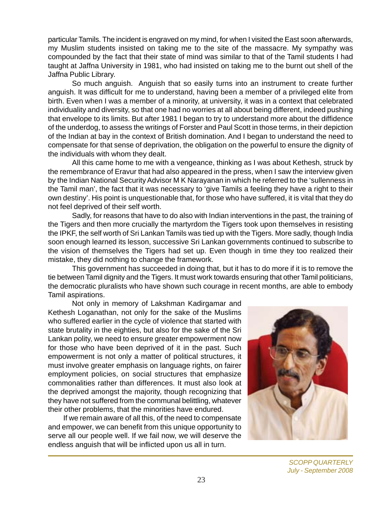particular Tamils. The incident is engraved on my mind, for when I visited the East soon afterwards, my Muslim students insisted on taking me to the site of the massacre. My sympathy was compounded by the fact that their state of mind was similar to that of the Tamil students I had taught at Jaffna University in 1981, who had insisted on taking me to the burnt out shell of the Jaffna Public Library.

So much anguish. Anguish that so easily turns into an instrument to create further anguish. It was difficult for me to understand, having been a member of a privileged elite from birth. Even when I was a member of a minority, at university, it was in a context that celebrated individuality and diversity, so that one had no worries at all about being different, indeed pushing that envelope to its limits. But after 1981 I began to try to understand more about the diffidence of the underdog, to assess the writings of Forster and Paul Scott in those terms, in their depiction of the Indian at bay in the context of British domination. And I began to understand the need to compensate for that sense of deprivation, the obligation on the powerful to ensure the dignity of the individuals with whom they dealt.

All this came home to me with a vengeance, thinking as I was about Kethesh, struck by the remembrance of Eravur that had also appeared in the press, when I saw the interview given by the Indian National Security Advisor M K Narayanan in which he referred to the 'sullenness in the Tamil man', the fact that it was necessary to 'give Tamils a feeling they have a right to their own destiny'. His point is unquestionable that, for those who have suffered, it is vital that they do not feel deprived of their self worth.

Sadly, for reasons that have to do also with Indian interventions in the past, the training of the Tigers and then more crucially the martyrdom the Tigers took upon themselves in resisting the IPKF, the self worth of Sri Lankan Tamils was tied up with the Tigers. More sadly, though India soon enough learned its lesson, successive Sri Lankan governments continued to subscribe to the vision of themselves the Tigers had set up. Even though in time they too realized their mistake, they did nothing to change the framework.

This government has succeeded in doing that, but it has to do more if it is to remove the tie between Tamil dignity and the Tigers. It must work towards ensuring that other Tamil politicians, the democratic pluralists who have shown such courage in recent months, are able to embody Tamil aspirations.

Not only in memory of Lakshman Kadirgamar and Kethesh Loganathan, not only for the sake of the Muslims who suffered earlier in the cycle of violence that started with state brutality in the eighties, but also for the sake of the Sri Lankan polity, we need to ensure greater empowerment now for those who have been deprived of it in the past. Such empowerment is not only a matter of political structures, it must involve greater emphasis on language rights, on fairer employment policies, on social structures that emphasize commonalities rather than differences. It must also look at the deprived amongst the majority, though recognizing that they have not suffered from the communal belittling, whatever their other problems, that the minorities have endured.

 If we remain aware of all this, of the need to compensate and empower, we can benefit from this unique opportunity to serve all our people well. If we fail now, we will deserve the endless anguish that will be inflicted upon us all in turn.



*SCOPP QUARTERLY July - September 2008*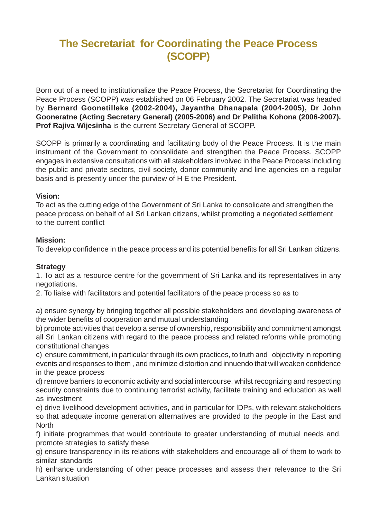# **The Secretariat for Coordinating the Peace Process (SCOPP)**

Born out of a need to institutionalize the Peace Process, the Secretariat for Coordinating the Peace Process (SCOPP) was established on 06 February 2002. The Secretariat was headed by **Bernard Goonetilleke (2002-2004), Jayantha Dhanapala (2004-2005), Dr John Gooneratne (Acting Secretary General) (2005-2006) and Dr Palitha Kohona (2006-2007). Prof Rajiva Wijesinha** is the current Secretary General of SCOPP.

SCOPP is primarily a coordinating and facilitating body of the Peace Process. It is the main instrument of the Government to consolidate and strengthen the Peace Process. SCOPP engages in extensive consultations with all stakeholders involved in the Peace Process including the public and private sectors, civil society, donor community and line agencies on a regular basis and is presently under the purview of H E the President.

### **Vision:**

To act as the cutting edge of the Government of Sri Lanka to consolidate and strengthen the peace process on behalf of all Sri Lankan citizens, whilst promoting a negotiated settlement to the current conflict

### **Mission:**

To develop confidence in the peace process and its potential benefits for all Sri Lankan citizens.

### **Strategy**

1. To act as a resource centre for the government of Sri Lanka and its representatives in any negotiations.

2. To liaise with facilitators and potential facilitators of the peace process so as to

a) ensure synergy by bringing together all possible stakeholders and developing awareness of the wider benefits of cooperation and mutual understanding

b) promote activities that develop a sense of ownership, responsibility and commitment amongst all Sri Lankan citizens with regard to the peace process and related reforms while promoting constitutional changes

c) ensure commitment, in particular through its own practices, to truth and objectivity in reporting events and responses to them , and minimize distortion and innuendo that will weaken confidence in the peace process

d) remove barriers to economic activity and social intercourse, whilst recognizing and respecting security constraints due to continuing terrorist activity, facilitate training and education as well as investment

e) drive livelihood development activities, and in particular for lDPs, with relevant stakeholders so that adequate income generation alternatives are provided to the people in the East and **North** 

f) initiate programmes that would contribute to greater understanding of mutual needs and. promote strategies to satisfy these

g) ensure transparency in its relations with stakeholders and encourage all of them to work to similar standards

h) enhance understanding of other peace processes and assess their relevance to the Sri Lankan situation